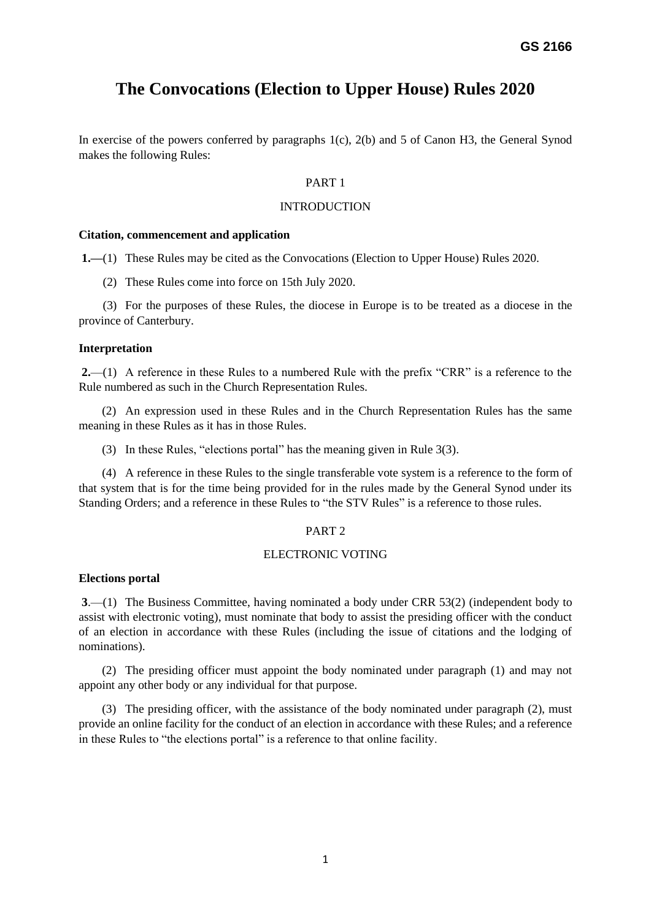# **The Convocations (Election to Upper House) Rules 2020**

In exercise of the powers conferred by paragraphs 1(c), 2(b) and 5 of Canon H3, the General Synod makes the following Rules:

#### PART 1

#### **INTRODUCTION**

#### **Citation, commencement and application**

**1.—**(1) These Rules may be cited as the Convocations (Election to Upper House) Rules 2020.

(2) These Rules come into force on 15th July 2020.

 (3) For the purposes of these Rules, the diocese in Europe is to be treated as a diocese in the province of Canterbury.

#### **Interpretation**

**2.**—(1) A reference in these Rules to a numbered Rule with the prefix "CRR" is a reference to the Rule numbered as such in the Church Representation Rules.

(2) An expression used in these Rules and in the Church Representation Rules has the same meaning in these Rules as it has in those Rules.

(3) In these Rules, "elections portal" has the meaning given in Rule 3(3).

(4) A reference in these Rules to the single transferable vote system is a reference to the form of that system that is for the time being provided for in the rules made by the General Synod under its Standing Orders; and a reference in these Rules to "the STV Rules" is a reference to those rules.

### PART 2

### ELECTRONIC VOTING

#### **Elections portal**

**3**.—(1) The Business Committee, having nominated a body under CRR 53(2) (independent body to assist with electronic voting), must nominate that body to assist the presiding officer with the conduct of an election in accordance with these Rules (including the issue of citations and the lodging of nominations).

(2) The presiding officer must appoint the body nominated under paragraph (1) and may not appoint any other body or any individual for that purpose.

(3) The presiding officer, with the assistance of the body nominated under paragraph (2), must provide an online facility for the conduct of an election in accordance with these Rules; and a reference in these Rules to "the elections portal" is a reference to that online facility.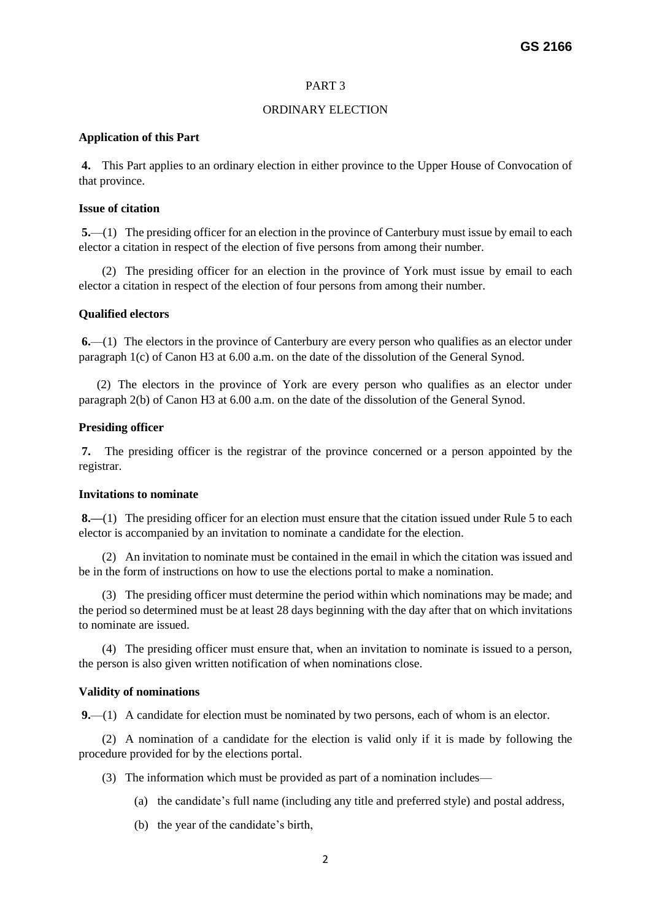### PART 3

#### ORDINARY ELECTION

#### **Application of this Part**

**4.** This Part applies to an ordinary election in either province to the Upper House of Convocation of that province.

### **Issue of citation**

**5.**—(1) The presiding officer for an election in the province of Canterbury must issue by email to each elector a citation in respect of the election of five persons from among their number.

(2) The presiding officer for an election in the province of York must issue by email to each elector a citation in respect of the election of four persons from among their number.

### **Qualified electors**

**6.**—(1) The electors in the province of Canterbury are every person who qualifies as an elector under paragraph 1(c) of Canon H3 at 6.00 a.m. on the date of the dissolution of the General Synod.

 (2) The electors in the province of York are every person who qualifies as an elector under paragraph 2(b) of Canon H3 at 6.00 a.m. on the date of the dissolution of the General Synod.

### **Presiding officer**

**7.** The presiding officer is the registrar of the province concerned or a person appointed by the registrar.

#### **Invitations to nominate**

**8.—**(1) The presiding officer for an election must ensure that the citation issued under Rule 5 to each elector is accompanied by an invitation to nominate a candidate for the election.

(2) An invitation to nominate must be contained in the email in which the citation was issued and be in the form of instructions on how to use the elections portal to make a nomination.

(3) The presiding officer must determine the period within which nominations may be made; and the period so determined must be at least 28 days beginning with the day after that on which invitations to nominate are issued.

(4) The presiding officer must ensure that, when an invitation to nominate is issued to a person, the person is also given written notification of when nominations close.

### **Validity of nominations**

**9.**—(1) A candidate for election must be nominated by two persons, each of whom is an elector.

(2) A nomination of a candidate for the election is valid only if it is made by following the procedure provided for by the elections portal.

- (3) The information which must be provided as part of a nomination includes—
	- (a) the candidate's full name (including any title and preferred style) and postal address,
	- (b) the year of the candidate's birth,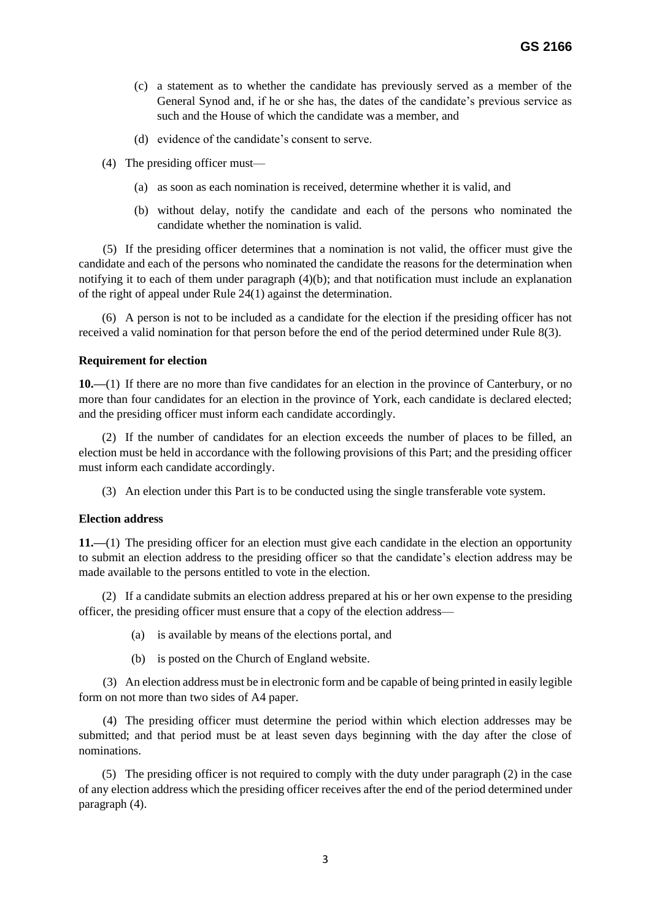- (c) a statement as to whether the candidate has previously served as a member of the General Synod and, if he or she has, the dates of the candidate's previous service as such and the House of which the candidate was a member, and
- (d) evidence of the candidate's consent to serve.
- (4) The presiding officer must—
	- (a) as soon as each nomination is received, determine whether it is valid, and
	- (b) without delay, notify the candidate and each of the persons who nominated the candidate whether the nomination is valid.

 (5) If the presiding officer determines that a nomination is not valid, the officer must give the candidate and each of the persons who nominated the candidate the reasons for the determination when notifying it to each of them under paragraph (4)(b); and that notification must include an explanation of the right of appeal under Rule 24(1) against the determination.

(6) A person is not to be included as a candidate for the election if the presiding officer has not received a valid nomination for that person before the end of the period determined under Rule 8(3).

### **Requirement for election**

**10.—**(1) If there are no more than five candidates for an election in the province of Canterbury, or no more than four candidates for an election in the province of York, each candidate is declared elected; and the presiding officer must inform each candidate accordingly.

(2) If the number of candidates for an election exceeds the number of places to be filled, an election must be held in accordance with the following provisions of this Part; and the presiding officer must inform each candidate accordingly.

(3) An election under this Part is to be conducted using the single transferable vote system.

#### **Election address**

**11.—**(1) The presiding officer for an election must give each candidate in the election an opportunity to submit an election address to the presiding officer so that the candidate's election address may be made available to the persons entitled to vote in the election.

(2) If a candidate submits an election address prepared at his or her own expense to the presiding officer, the presiding officer must ensure that a copy of the election address—

- (a) is available by means of the elections portal, and
- (b) is posted on the Church of England website.

 (3) An election address must be in electronic form and be capable of being printed in easily legible form on not more than two sides of A4 paper.

 (4) The presiding officer must determine the period within which election addresses may be submitted; and that period must be at least seven days beginning with the day after the close of nominations.

(5) The presiding officer is not required to comply with the duty under paragraph (2) in the case of any election address which the presiding officer receives after the end of the period determined under paragraph (4).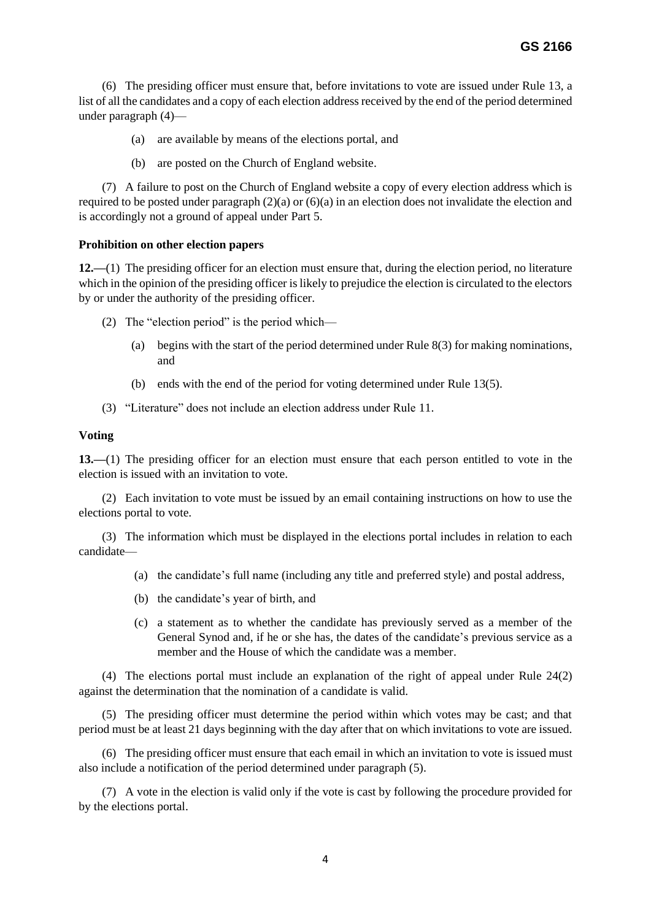(6) The presiding officer must ensure that, before invitations to vote are issued under Rule 13, a list of all the candidates and a copy of each election address received by the end of the period determined under paragraph (4)—

- (a) are available by means of the elections portal, and
- (b) are posted on the Church of England website.

(7) A failure to post on the Church of England website a copy of every election address which is required to be posted under paragraph  $(2)(a)$  or  $(6)(a)$  in an election does not invalidate the election and is accordingly not a ground of appeal under Part 5.

### **Prohibition on other election papers**

**12.—**(1) The presiding officer for an election must ensure that, during the election period, no literature which in the opinion of the presiding officer is likely to prejudice the election is circulated to the electors by or under the authority of the presiding officer.

- (2) The "election period" is the period which—
	- (a) begins with the start of the period determined under Rule 8(3) for making nominations, and
	- (b) ends with the end of the period for voting determined under Rule 13(5).
- (3) "Literature" does not include an election address under Rule 11.

#### **Voting**

**13.—**(1) The presiding officer for an election must ensure that each person entitled to vote in the election is issued with an invitation to vote.

(2) Each invitation to vote must be issued by an email containing instructions on how to use the elections portal to vote.

(3) The information which must be displayed in the elections portal includes in relation to each candidate—

- (a) the candidate's full name (including any title and preferred style) and postal address,
- (b) the candidate's year of birth, and
- (c) a statement as to whether the candidate has previously served as a member of the General Synod and, if he or she has, the dates of the candidate's previous service as a member and the House of which the candidate was a member.

(4) The elections portal must include an explanation of the right of appeal under Rule 24(2) against the determination that the nomination of a candidate is valid.

(5) The presiding officer must determine the period within which votes may be cast; and that period must be at least 21 days beginning with the day after that on which invitations to vote are issued.

(6) The presiding officer must ensure that each email in which an invitation to vote is issued must also include a notification of the period determined under paragraph (5).

(7) A vote in the election is valid only if the vote is cast by following the procedure provided for by the elections portal.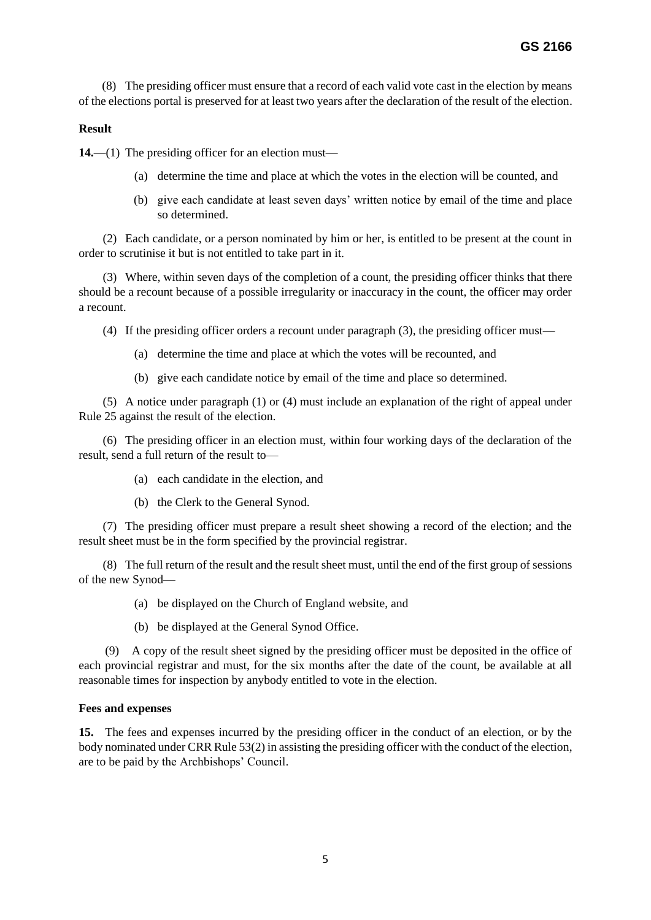(8) The presiding officer must ensure that a record of each valid vote cast in the election by means of the elections portal is preserved for at least two years after the declaration of the result of the election.

### **Result**

**14.**—(1) The presiding officer for an election must—

- (a) determine the time and place at which the votes in the election will be counted, and
- (b) give each candidate at least seven days' written notice by email of the time and place so determined.

 (2) Each candidate, or a person nominated by him or her, is entitled to be present at the count in order to scrutinise it but is not entitled to take part in it.

 (3) Where, within seven days of the completion of a count, the presiding officer thinks that there should be a recount because of a possible irregularity or inaccuracy in the count, the officer may order a recount.

(4) If the presiding officer orders a recount under paragraph (3), the presiding officer must—

- (a) determine the time and place at which the votes will be recounted, and
- (b) give each candidate notice by email of the time and place so determined.

 (5) A notice under paragraph (1) or (4) must include an explanation of the right of appeal under Rule 25 against the result of the election.

 (6) The presiding officer in an election must, within four working days of the declaration of the result, send a full return of the result to—

- (a) each candidate in the election, and
- (b) the Clerk to the General Synod.

 (7) The presiding officer must prepare a result sheet showing a record of the election; and the result sheet must be in the form specified by the provincial registrar.

 (8) The full return of the result and the result sheet must, until the end of the first group of sessions of the new Synod—

(a) be displayed on the Church of England website, and

(b) be displayed at the General Synod Office.

(9) A copy of the result sheet signed by the presiding officer must be deposited in the office of each provincial registrar and must, for the six months after the date of the count, be available at all reasonable times for inspection by anybody entitled to vote in the election.

### **Fees and expenses**

**15.** The fees and expenses incurred by the presiding officer in the conduct of an election, or by the body nominated under CRR Rule 53(2) in assisting the presiding officer with the conduct of the election, are to be paid by the Archbishops' Council.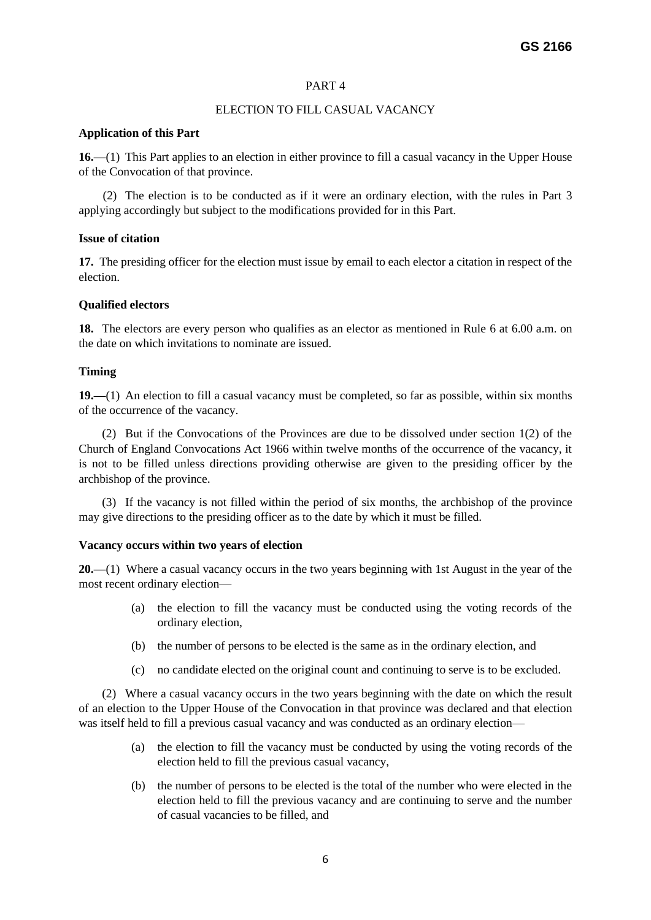# PART 4

# ELECTION TO FILL CASUAL VACANCY

### **Application of this Part**

**16.—**(1) This Part applies to an election in either province to fill a casual vacancy in the Upper House of the Convocation of that province.

 (2) The election is to be conducted as if it were an ordinary election, with the rules in Part 3 applying accordingly but subject to the modifications provided for in this Part.

# **Issue of citation**

**17.** The presiding officer for the election must issue by email to each elector a citation in respect of the election.

# **Qualified electors**

**18.** The electors are every person who qualifies as an elector as mentioned in Rule 6 at 6.00 a.m. on the date on which invitations to nominate are issued.

# **Timing**

**19.—**(1) An election to fill a casual vacancy must be completed, so far as possible, within six months of the occurrence of the vacancy.

(2) But if the Convocations of the Provinces are due to be dissolved under section 1(2) of the Church of England Convocations Act 1966 within twelve months of the occurrence of the vacancy, it is not to be filled unless directions providing otherwise are given to the presiding officer by the archbishop of the province.

(3) If the vacancy is not filled within the period of six months, the archbishop of the province may give directions to the presiding officer as to the date by which it must be filled.

### **Vacancy occurs within two years of election**

**20.—**(1) Where a casual vacancy occurs in the two years beginning with 1st August in the year of the most recent ordinary election—

- (a) the election to fill the vacancy must be conducted using the voting records of the ordinary election,
- (b) the number of persons to be elected is the same as in the ordinary election, and
- (c) no candidate elected on the original count and continuing to serve is to be excluded.

(2) Where a casual vacancy occurs in the two years beginning with the date on which the result of an election to the Upper House of the Convocation in that province was declared and that election was itself held to fill a previous casual vacancy and was conducted as an ordinary election—

- (a) the election to fill the vacancy must be conducted by using the voting records of the election held to fill the previous casual vacancy,
- (b) the number of persons to be elected is the total of the number who were elected in the election held to fill the previous vacancy and are continuing to serve and the number of casual vacancies to be filled, and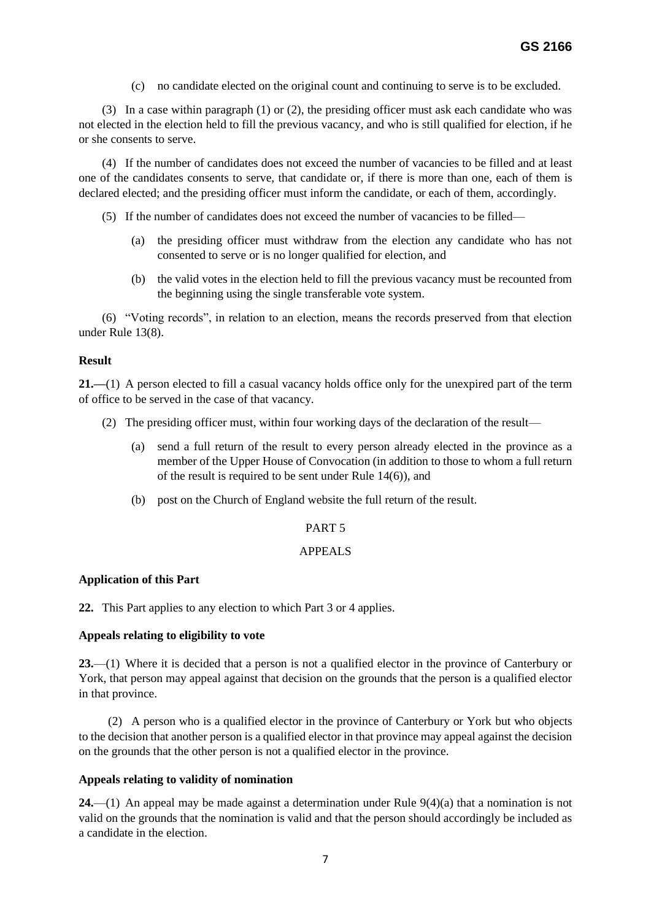(c) no candidate elected on the original count and continuing to serve is to be excluded.

(3) In a case within paragraph (1) or (2), the presiding officer must ask each candidate who was not elected in the election held to fill the previous vacancy, and who is still qualified for election, if he or she consents to serve.

(4) If the number of candidates does not exceed the number of vacancies to be filled and at least one of the candidates consents to serve, that candidate or, if there is more than one, each of them is declared elected; and the presiding officer must inform the candidate, or each of them, accordingly.

- (5) If the number of candidates does not exceed the number of vacancies to be filled—
	- (a) the presiding officer must withdraw from the election any candidate who has not consented to serve or is no longer qualified for election, and
	- (b) the valid votes in the election held to fill the previous vacancy must be recounted from the beginning using the single transferable vote system.

(6) "Voting records", in relation to an election, means the records preserved from that election under Rule 13(8).

# **Result**

**21.—**(1) A person elected to fill a casual vacancy holds office only for the unexpired part of the term of office to be served in the case of that vacancy.

- (2) The presiding officer must, within four working days of the declaration of the result—
	- (a) send a full return of the result to every person already elected in the province as a member of the Upper House of Convocation (in addition to those to whom a full return of the result is required to be sent under Rule 14(6)), and
	- (b) post on the Church of England website the full return of the result.

# PART 5

### APPEALS

### **Application of this Part**

**22.** This Part applies to any election to which Part 3 or 4 applies.

### **Appeals relating to eligibility to vote**

**23.**—(1) Where it is decided that a person is not a qualified elector in the province of Canterbury or York, that person may appeal against that decision on the grounds that the person is a qualified elector in that province.

 (2) A person who is a qualified elector in the province of Canterbury or York but who objects to the decision that another person is a qualified elector in that province may appeal against the decision on the grounds that the other person is not a qualified elector in the province.

### **Appeals relating to validity of nomination**

**24.**—(1) An appeal may be made against a determination under Rule 9(4)(a) that a nomination is not valid on the grounds that the nomination is valid and that the person should accordingly be included as a candidate in the election.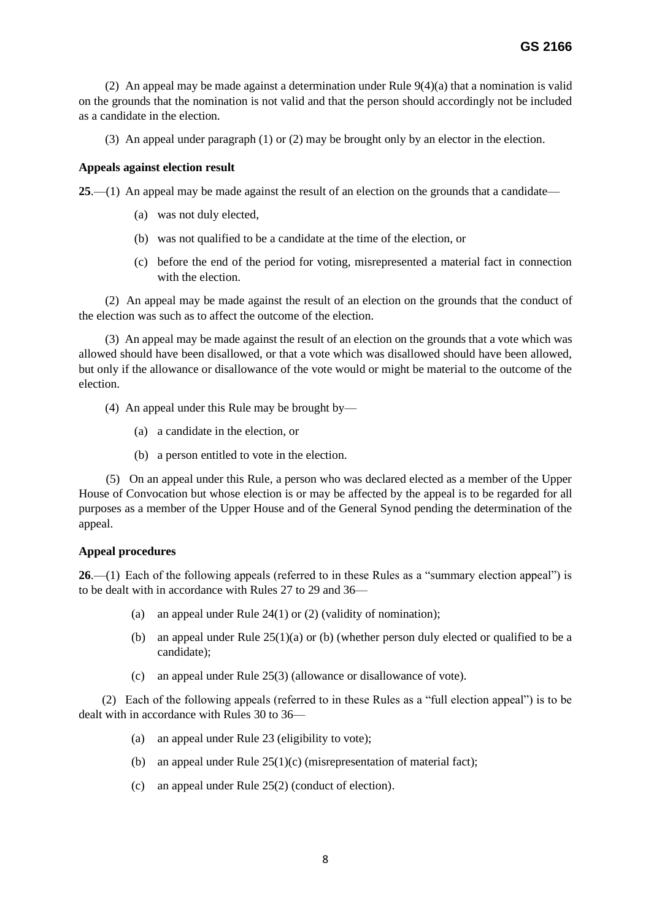(2) An appeal may be made against a determination under Rule  $9(4)(a)$  that a nomination is valid on the grounds that the nomination is not valid and that the person should accordingly not be included as a candidate in the election.

(3) An appeal under paragraph (1) or (2) may be brought only by an elector in the election.

### **Appeals against election result**

**25**.—(1) An appeal may be made against the result of an election on the grounds that a candidate—

- (a) was not duly elected,
- (b) was not qualified to be a candidate at the time of the election, or
- (c) before the end of the period for voting, misrepresented a material fact in connection with the election.

(2) An appeal may be made against the result of an election on the grounds that the conduct of the election was such as to affect the outcome of the election.

(3) An appeal may be made against the result of an election on the grounds that a vote which was allowed should have been disallowed, or that a vote which was disallowed should have been allowed, but only if the allowance or disallowance of the vote would or might be material to the outcome of the election.

- (4) An appeal under this Rule may be brought by—
	- (a) a candidate in the election, or
	- (b) a person entitled to vote in the election.

 (5) On an appeal under this Rule, a person who was declared elected as a member of the Upper House of Convocation but whose election is or may be affected by the appeal is to be regarded for all purposes as a member of the Upper House and of the General Synod pending the determination of the appeal.

### **Appeal procedures**

**26**.—(1) Each of the following appeals (referred to in these Rules as a "summary election appeal") is to be dealt with in accordance with Rules 27 to 29 and 36—

- (a) an appeal under Rule 24(1) or (2) (validity of nomination);
- (b) an appeal under Rule  $25(1)(a)$  or (b) (whether person duly elected or qualified to be a candidate);
- (c) an appeal under Rule 25(3) (allowance or disallowance of vote).

(2) Each of the following appeals (referred to in these Rules as a "full election appeal") is to be dealt with in accordance with Rules 30 to 36—

- (a) an appeal under Rule 23 (eligibility to vote);
- (b) an appeal under Rule  $25(1)(c)$  (misrepresentation of material fact);
- (c) an appeal under Rule 25(2) (conduct of election).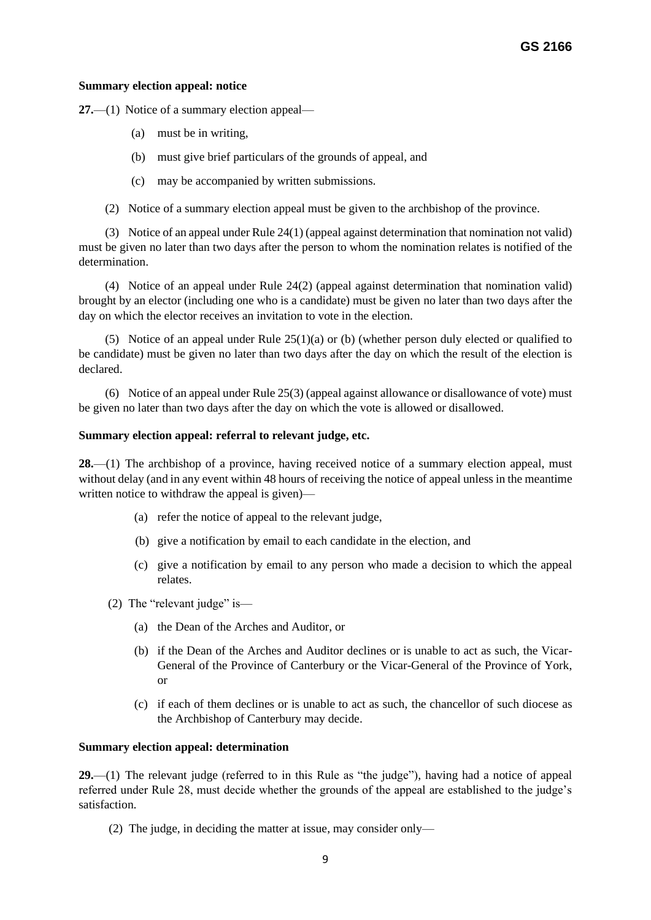### **Summary election appeal: notice**

**27.**—(1) Notice of a summary election appeal—

- (a) must be in writing,
- (b) must give brief particulars of the grounds of appeal, and
- (c) may be accompanied by written submissions.
- (2) Notice of a summary election appeal must be given to the archbishop of the province.

 (3) Notice of an appeal under Rule 24(1) (appeal against determination that nomination not valid) must be given no later than two days after the person to whom the nomination relates is notified of the determination.

(4) Notice of an appeal under Rule 24(2) (appeal against determination that nomination valid) brought by an elector (including one who is a candidate) must be given no later than two days after the day on which the elector receives an invitation to vote in the election.

(5) Notice of an appeal under Rule  $25(1)(a)$  or (b) (whether person duly elected or qualified to be candidate) must be given no later than two days after the day on which the result of the election is declared.

(6) Notice of an appeal under Rule 25(3) (appeal against allowance or disallowance of vote) must be given no later than two days after the day on which the vote is allowed or disallowed.

### **Summary election appeal: referral to relevant judge, etc.**

**28.**—(1) The archbishop of a province, having received notice of a summary election appeal, must without delay (and in any event within 48 hours of receiving the notice of appeal unless in the meantime written notice to withdraw the appeal is given)—

- (a) refer the notice of appeal to the relevant judge,
- (b) give a notification by email to each candidate in the election, and
- (c) give a notification by email to any person who made a decision to which the appeal relates.
- (2) The "relevant judge" is—
	- (a) the Dean of the Arches and Auditor, or
	- (b) if the Dean of the Arches and Auditor declines or is unable to act as such, the Vicar-General of the Province of Canterbury or the Vicar-General of the Province of York, or
	- (c) if each of them declines or is unable to act as such, the chancellor of such diocese as the Archbishop of Canterbury may decide.

### **Summary election appeal: determination**

**29.**—(1) The relevant judge (referred to in this Rule as "the judge"), having had a notice of appeal referred under Rule 28, must decide whether the grounds of the appeal are established to the judge's satisfaction.

(2) The judge, in deciding the matter at issue, may consider only—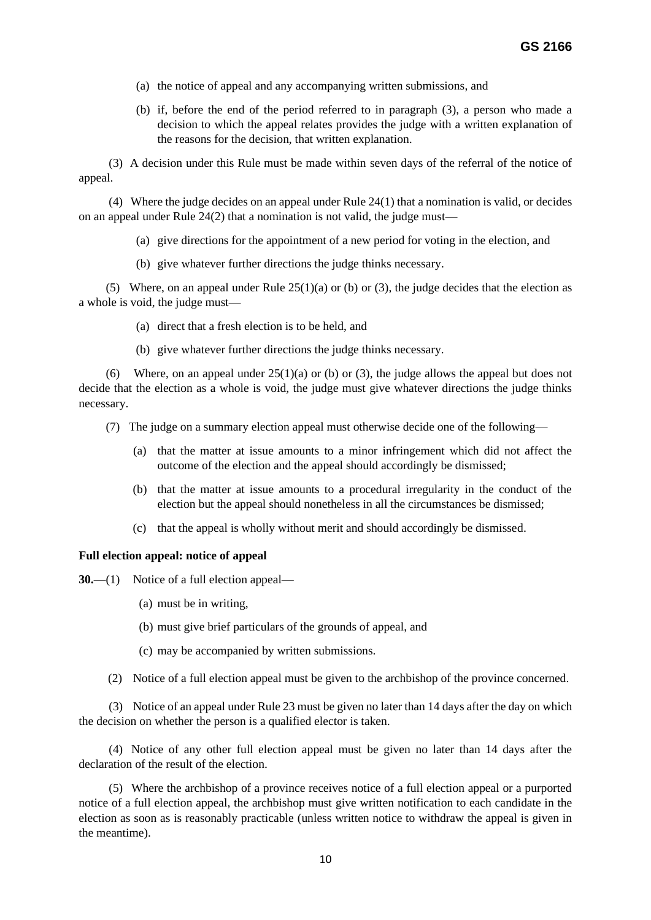- (a) the notice of appeal and any accompanying written submissions, and
- (b) if, before the end of the period referred to in paragraph (3), a person who made a decision to which the appeal relates provides the judge with a written explanation of the reasons for the decision, that written explanation.

 (3) A decision under this Rule must be made within seven days of the referral of the notice of appeal.

 (4) Where the judge decides on an appeal under Rule 24(1) that a nomination is valid, or decides on an appeal under Rule 24(2) that a nomination is not valid, the judge must—

- (a) give directions for the appointment of a new period for voting in the election, and
- (b) give whatever further directions the judge thinks necessary.

(5) Where, on an appeal under Rule  $25(1)(a)$  or (b) or (3), the judge decides that the election as a whole is void, the judge must—

- (a) direct that a fresh election is to be held, and
- (b) give whatever further directions the judge thinks necessary.

(6) Where, on an appeal under  $25(1)(a)$  or (b) or (3), the judge allows the appeal but does not decide that the election as a whole is void, the judge must give whatever directions the judge thinks necessary.

(7) The judge on a summary election appeal must otherwise decide one of the following—

- (a) that the matter at issue amounts to a minor infringement which did not affect the outcome of the election and the appeal should accordingly be dismissed;
- (b) that the matter at issue amounts to a procedural irregularity in the conduct of the election but the appeal should nonetheless in all the circumstances be dismissed;
- (c) that the appeal is wholly without merit and should accordingly be dismissed.

### **Full election appeal: notice of appeal**

**30.**—(1) Notice of a full election appeal—

- (a) must be in writing,
- (b) must give brief particulars of the grounds of appeal, and
- (c) may be accompanied by written submissions.
- (2) Notice of a full election appeal must be given to the archbishop of the province concerned.

 (3) Notice of an appeal under Rule 23 must be given no later than 14 days after the day on which the decision on whether the person is a qualified elector is taken.

 (4) Notice of any other full election appeal must be given no later than 14 days after the declaration of the result of the election.

(5) Where the archbishop of a province receives notice of a full election appeal or a purported notice of a full election appeal, the archbishop must give written notification to each candidate in the election as soon as is reasonably practicable (unless written notice to withdraw the appeal is given in the meantime).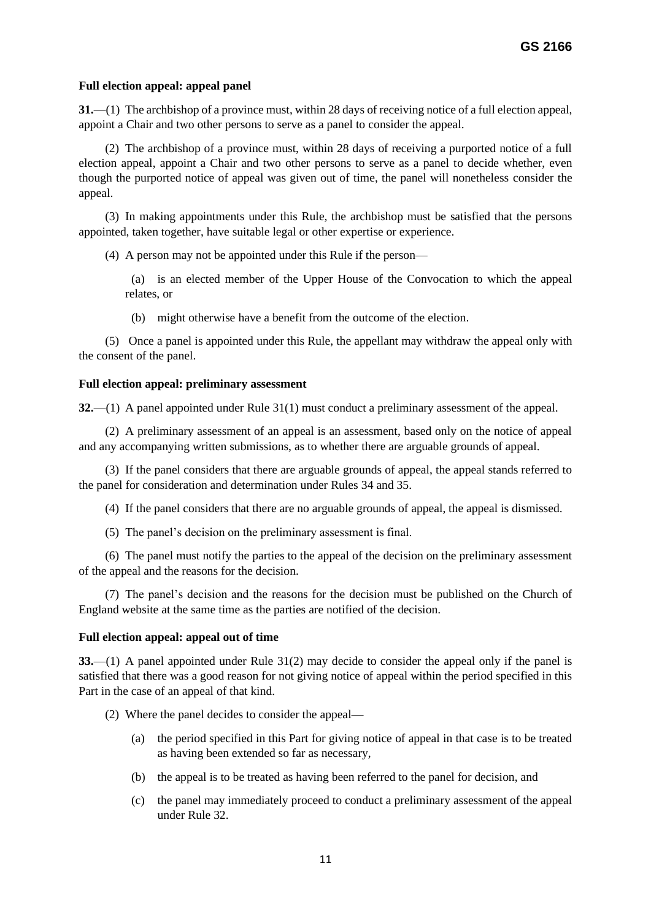### **Full election appeal: appeal panel**

**31.**—(1) The archbishop of a province must, within 28 days of receiving notice of a full election appeal, appoint a Chair and two other persons to serve as a panel to consider the appeal.

(2) The archbishop of a province must, within 28 days of receiving a purported notice of a full election appeal, appoint a Chair and two other persons to serve as a panel to decide whether, even though the purported notice of appeal was given out of time, the panel will nonetheless consider the appeal.

(3) In making appointments under this Rule, the archbishop must be satisfied that the persons appointed, taken together, have suitable legal or other expertise or experience.

(4) A person may not be appointed under this Rule if the person—

 (a) is an elected member of the Upper House of the Convocation to which the appeal relates, or

(b) might otherwise have a benefit from the outcome of the election.

(5) Once a panel is appointed under this Rule, the appellant may withdraw the appeal only with the consent of the panel.

### **Full election appeal: preliminary assessment**

**32.**—(1) A panel appointed under Rule 31(1) must conduct a preliminary assessment of the appeal.

(2) A preliminary assessment of an appeal is an assessment, based only on the notice of appeal and any accompanying written submissions, as to whether there are arguable grounds of appeal.

(3) If the panel considers that there are arguable grounds of appeal, the appeal stands referred to the panel for consideration and determination under Rules 34 and 35.

(4) If the panel considers that there are no arguable grounds of appeal, the appeal is dismissed.

(5) The panel's decision on the preliminary assessment is final.

(6) The panel must notify the parties to the appeal of the decision on the preliminary assessment of the appeal and the reasons for the decision.

(7) The panel's decision and the reasons for the decision must be published on the Church of England website at the same time as the parties are notified of the decision.

#### **Full election appeal: appeal out of time**

**33.**—(1) A panel appointed under Rule 31(2) may decide to consider the appeal only if the panel is satisfied that there was a good reason for not giving notice of appeal within the period specified in this Part in the case of an appeal of that kind.

- (2) Where the panel decides to consider the appeal—
	- (a) the period specified in this Part for giving notice of appeal in that case is to be treated as having been extended so far as necessary,
	- (b) the appeal is to be treated as having been referred to the panel for decision, and
	- (c) the panel may immediately proceed to conduct a preliminary assessment of the appeal under Rule 32.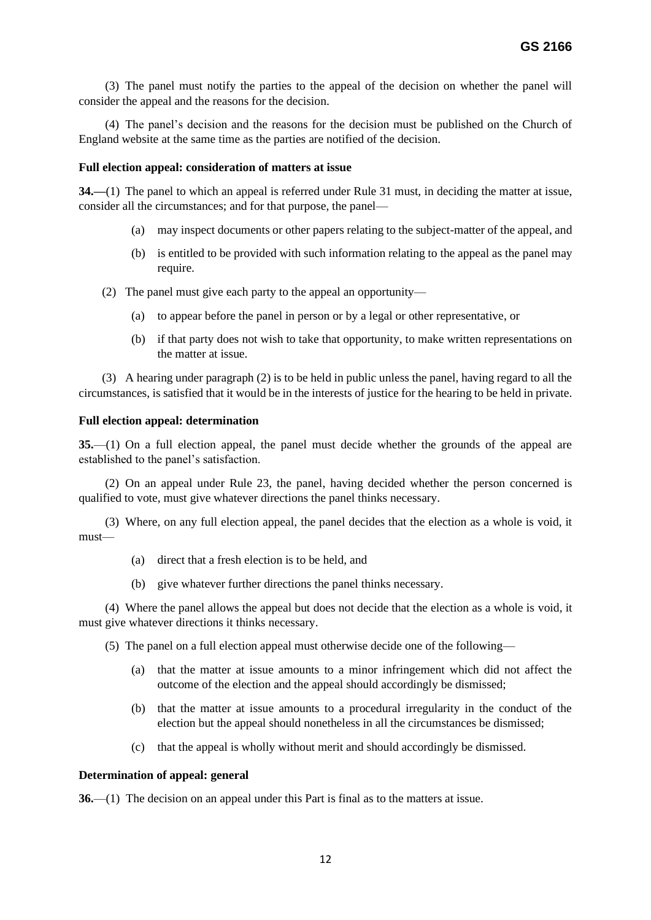(3) The panel must notify the parties to the appeal of the decision on whether the panel will consider the appeal and the reasons for the decision.

(4) The panel's decision and the reasons for the decision must be published on the Church of England website at the same time as the parties are notified of the decision.

#### **Full election appeal: consideration of matters at issue**

**34.—**(1) The panel to which an appeal is referred under Rule 31 must, in deciding the matter at issue, consider all the circumstances; and for that purpose, the panel—

- (a) may inspect documents or other papers relating to the subject-matter of the appeal, and
- (b) is entitled to be provided with such information relating to the appeal as the panel may require.
- (2) The panel must give each party to the appeal an opportunity—
	- (a) to appear before the panel in person or by a legal or other representative, or
	- (b) if that party does not wish to take that opportunity, to make written representations on the matter at issue.

(3) A hearing under paragraph (2) is to be held in public unless the panel, having regard to all the circumstances, is satisfied that it would be in the interests of justice for the hearing to be held in private.

#### **Full election appeal: determination**

**35.**—(1) On a full election appeal, the panel must decide whether the grounds of the appeal are established to the panel's satisfaction.

(2) On an appeal under Rule 23, the panel, having decided whether the person concerned is qualified to vote, must give whatever directions the panel thinks necessary.

(3) Where, on any full election appeal, the panel decides that the election as a whole is void, it must—

- (a) direct that a fresh election is to be held, and
- (b) give whatever further directions the panel thinks necessary.

(4) Where the panel allows the appeal but does not decide that the election as a whole is void, it must give whatever directions it thinks necessary.

(5) The panel on a full election appeal must otherwise decide one of the following—

- (a) that the matter at issue amounts to a minor infringement which did not affect the outcome of the election and the appeal should accordingly be dismissed;
- (b) that the matter at issue amounts to a procedural irregularity in the conduct of the election but the appeal should nonetheless in all the circumstances be dismissed;
- (c) that the appeal is wholly without merit and should accordingly be dismissed.

#### **Determination of appeal: general**

**36.**—(1) The decision on an appeal under this Part is final as to the matters at issue.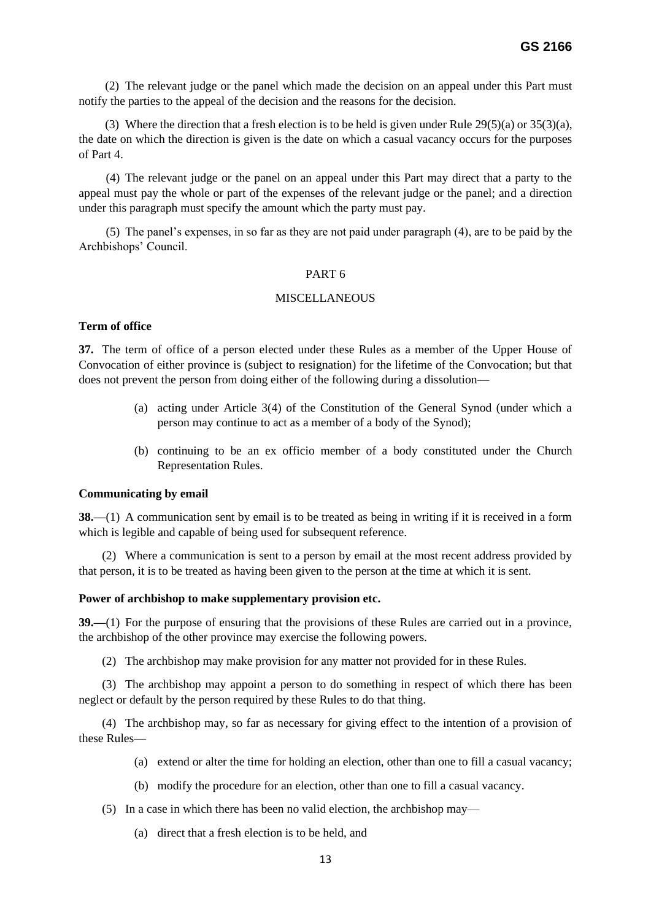(2) The relevant judge or the panel which made the decision on an appeal under this Part must notify the parties to the appeal of the decision and the reasons for the decision.

(3) Where the direction that a fresh election is to be held is given under Rule 29(5)(a) or 35(3)(a), the date on which the direction is given is the date on which a casual vacancy occurs for the purposes of Part 4.

 (4) The relevant judge or the panel on an appeal under this Part may direct that a party to the appeal must pay the whole or part of the expenses of the relevant judge or the panel; and a direction under this paragraph must specify the amount which the party must pay.

 (5) The panel's expenses, in so far as they are not paid under paragraph (4), are to be paid by the Archbishops' Council.

### PART 6

### MISCELL ANEOUS

### **Term of office**

**37.** The term of office of a person elected under these Rules as a member of the Upper House of Convocation of either province is (subject to resignation) for the lifetime of the Convocation; but that does not prevent the person from doing either of the following during a dissolution—

- (a) acting under Article 3(4) of the Constitution of the General Synod (under which a person may continue to act as a member of a body of the Synod);
- (b) continuing to be an ex officio member of a body constituted under the Church Representation Rules.

#### **Communicating by email**

**38.—(1)** A communication sent by email is to be treated as being in writing if it is received in a form which is legible and capable of being used for subsequent reference.

(2) Where a communication is sent to a person by email at the most recent address provided by that person, it is to be treated as having been given to the person at the time at which it is sent.

#### **Power of archbishop to make supplementary provision etc.**

**39.—**(1) For the purpose of ensuring that the provisions of these Rules are carried out in a province, the archbishop of the other province may exercise the following powers.

(2) The archbishop may make provision for any matter not provided for in these Rules.

(3) The archbishop may appoint a person to do something in respect of which there has been neglect or default by the person required by these Rules to do that thing.

(4) The archbishop may, so far as necessary for giving effect to the intention of a provision of these Rules—

- (a) extend or alter the time for holding an election, other than one to fill a casual vacancy;
- (b) modify the procedure for an election, other than one to fill a casual vacancy.
- (5) In a case in which there has been no valid election, the archbishop may—
	- (a) direct that a fresh election is to be held, and